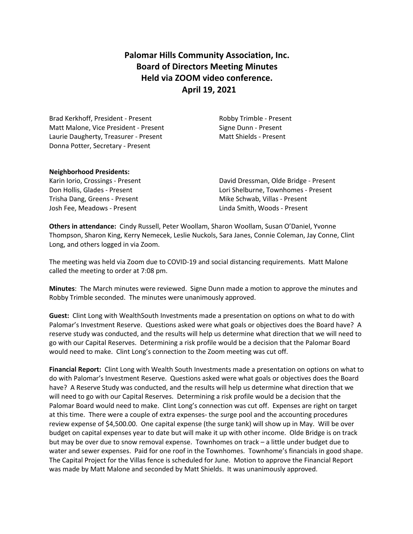**Palomar Hills Community Association, Inc. Board of Directors Meeting Minutes Held via ZOOM video conference. April 19, 2021**

Brad Kerkhoff, President - Present Robby Trimble - Present Matt Malone, Vice President - Present Signe Dunn - Present Laurie Daugherty, Treasurer - Present Matt Shields - Present Donna Potter, Secretary - Present

#### **Neighborhood Presidents:**

Trisha Dang, Greens - Present Mike Schwab, Villas - Present Josh Fee, Meadows - Present Linda Smith, Woods - Present

Karin Iorio, Crossings - Present David Dressman, Olde Bridge - Present Don Hollis, Glades - Present Lori Shelburne, Townhomes - Present

**Others in attendance:** Cindy Russell, Peter Woollam, Sharon Woollam, Susan O'Daniel, Yvonne Thompson, Sharon King, Kerry Nemecek, Leslie Nuckols, Sara Janes, Connie Coleman, Jay Conne, Clint Long, and others logged in via Zoom.

The meeting was held via Zoom due to COVID-19 and social distancing requirements. Matt Malone called the meeting to order at 7:08 pm.

**Minutes**: The March minutes were reviewed. Signe Dunn made a motion to approve the minutes and Robby Trimble seconded. The minutes were unanimously approved.

**Guest:** Clint Long with WealthSouth Investments made a presentation on options on what to do with Palomar's Investment Reserve. Questions asked were what goals or objectives does the Board have? A reserve study was conducted, and the results will help us determine what direction that we will need to go with our Capital Reserves. Determining a risk profile would be a decision that the Palomar Board would need to make. Clint Long's connection to the Zoom meeting was cut off.

**Financial Report:** Clint Long with Wealth South Investments made a presentation on options on what to do with Palomar's Investment Reserve. Questions asked were what goals or objectives does the Board have? A Reserve Study was conducted, and the results will help us determine what direction that we will need to go with our Capital Reserves. Determining a risk profile would be a decision that the Palomar Board would need to make. Clint Long's connection was cut off. Expenses are right on target at this time. There were a couple of extra expenses- the surge pool and the accounting procedures review expense of \$4,500.00. One capital expense (the surge tank) will show up in May. Will be over budget on capital expenses year to date but will make it up with other income. Olde Bridge is on track but may be over due to snow removal expense. Townhomes on track – a little under budget due to water and sewer expenses. Paid for one roof in the Townhomes. Townhome's financials in good shape. The Capital Project for the Villas fence is scheduled for June. Motion to approve the Financial Report was made by Matt Malone and seconded by Matt Shields. It was unanimously approved.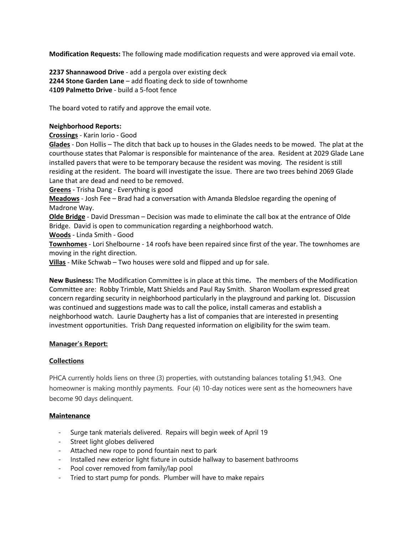**Modification Requests:** The following made modification requests and were approved via email vote.

**2237 Shannawood Drive** - add a pergola over existing deck **2244 Stone Garden Lane** – add floating deck to side of townhome 4**109 Palmetto Drive** - build a 5-foot fence

The board voted to ratify and approve the email vote.

#### **Neighborhood Reports:**

**Crossings** - Karin Iorio - Good

**Glades** - Don Hollis – The ditch that back up to houses in the Glades needs to be mowed. The plat at the courthouse states that Palomar is responsible for maintenance of the area. Resident at 2029 Glade Lane installed pavers that were to be temporary because the resident was moving. The resident is still residing at the resident. The board will investigate the issue. There are two trees behind 2069 Glade Lane that are dead and need to be removed.

**Greens** - Trisha Dang - Everything is good

**Meadows** - Josh Fee – Brad had a conversation with Amanda Bledsloe regarding the opening of Madrone Way.

**Olde Bridge** - David Dressman – Decision was made to eliminate the call box at the entrance of Olde Bridge. David is open to communication regarding a neighborhood watch.

**Woods** - Linda Smith - Good

**Townhomes** - Lori Shelbourne - 14 roofs have been repaired since first of the year. The townhomes are moving in the right direction.

**Villas** - Mike Schwab – Two houses were sold and flipped and up for sale.

**New Business:** The Modification Committee is in place at this time**.** The members of the Modification Committee are: Robby Trimble, Matt Shields and Paul Ray Smith. Sharon Woollam expressed great concern regarding security in neighborhood particularly in the playground and parking lot. Discussion was continued and suggestions made was to call the police, install cameras and establish a neighborhood watch. Laurie Daugherty has a list of companies that are interested in presenting investment opportunities. Trish Dang requested information on eligibility for the swim team.

# **Manager's Report:**

# **Collections**

PHCA currently holds liens on three (3) properties, with outstanding balances totaling \$1,943. One homeowner is making monthly payments. Four (4) 10-day notices were sent as the homeowners have become 90 days delinquent.

# **Maintenance**

- Surge tank materials delivered. Repairs will begin week of April 19
- Street light globes delivered
- Attached new rope to pond fountain next to park
- Installed new exterior light fixture in outside hallway to basement bathrooms
- Pool cover removed from family/lap pool
- Tried to start pump for ponds. Plumber will have to make repairs